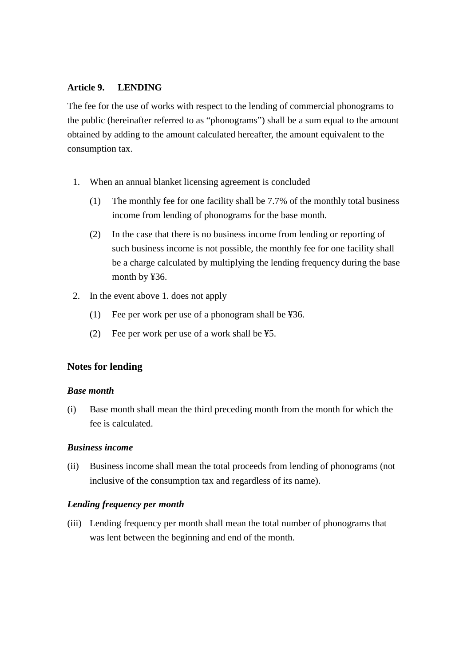## **Article 9. LENDING**

The fee for the use of works with respect to the lending of commercial phonograms to the public (hereinafter referred to as "phonograms") shall be a sum equal to the amount obtained by adding to the amount calculated hereafter, the amount equivalent to the consumption tax.

- 1. When an annual blanket licensing agreement is concluded
	- (1) The monthly fee for one facility shall be 7.7% of the monthly total business income from lending of phonograms for the base month.
	- (2) In the case that there is no business income from lending or reporting of such business income is not possible, the monthly fee for one facility shall be a charge calculated by multiplying the lending frequency during the base month by ¥36.
- 2. In the event above 1. does not apply
	- (1) Fee per work per use of a phonogram shall be ¥36.
	- (2) Fee per work per use of a work shall be ¥5.

# **Notes for lending**

### *Base month*

(i) Base month shall mean the third preceding month from the month for which the fee is calculated.

## *Business income*

(ii) Business income shall mean the total proceeds from lending of phonograms (not inclusive of the consumption tax and regardless of its name).

### *Lending frequency per month*

(iii) Lending frequency per month shall mean the total number of phonograms that was lent between the beginning and end of the month.